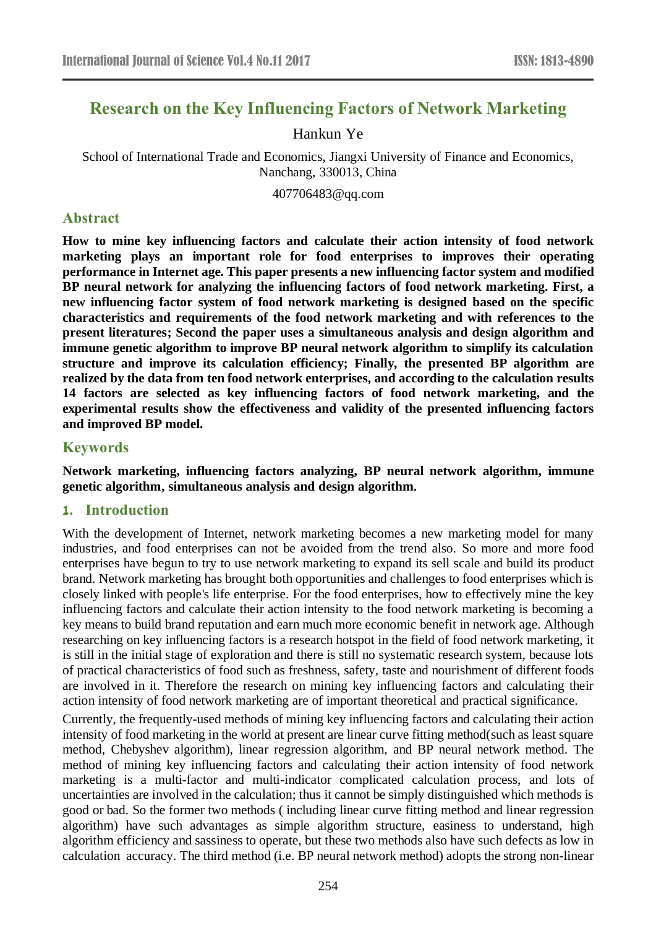# **Research on the Key Influencing Factors of Network Marketing**

### Hankun Ye

School of International Trade and Economics, Jiangxi University of Finance and Economics, Nanchang, 330013, China

[407706483@qq.com](mailto:407706483@qq.com)

#### **Abstract**

**How to mine key influencing factors and calculate their action intensity of food network marketing plays an important role for food enterprises to improves their operating performance in Internet age. This paper presents a new influencing factor system and modified BP neural network for analyzing the influencing factors of food network marketing. First, a new influencing factor system of food network marketing is designed based on the specific characteristics and requirements of the food network marketing and with references to the present literatures; Second the paper uses a simultaneous analysis and design algorithm and immune genetic algorithm to improve BP neural network algorithm to simplify its calculation structure and improve its calculation efficiency; Finally, the presented BP algorithm are realized by the data from ten food network enterprises, and according to the calculation results 14 factors are selected as key influencing factors of food network marketing, and the experimental results show the effectiveness and validity of the presented influencing factors and improved BP model.**

## **Keywords**

**Network marketing, influencing factors analyzing, BP neural network algorithm, immune genetic algorithm, simultaneous analysis and design algorithm.**

#### **1. Introduction**

With the development of Internet, network marketing becomes a new marketing model for many industries, and food enterprises can not be avoided from the trend also. So more and more food enterprises have begun to try to use network marketing to expand its sell scale and build its product brand. Network marketing has brought both opportunities and challenges to food enterprises which is closely linked with people's life enterprise. For the food enterprises, how to effectively mine the key influencing factors and calculate their action intensity to the food network marketing is becoming a key means to build brand reputation and earn much more economic benefit in network age. Although researching on key influencing factors is a research hotspot in the field of food network marketing, it is still in the initial stage of exploration and there is still no systematic research system, because lots of practical characteristics of food such as freshness, safety, taste and nourishment of different foods are involved in it. Therefore the research on mining key influencing factors and calculating their action intensity of food network marketing are of important theoretical and practical significance.

Currently, the frequently-used methods of mining key influencing factors and calculating their action intensity of food marketing in the world at present are linear curve fitting method(such as least square method, Chebyshev algorithm), linear regression algorithm, and BP neural network method. The method of mining key influencing factors and calculating their action intensity of food network marketing is a multi-factor and multi-indicator complicated calculation process, and lots of uncertainties are involved in the calculation; thus it cannot be simply distinguished which methods is good or bad. So the former two methods ( including linear curve fitting method and linear regression algorithm) have such advantages as simple algorithm structure, easiness to understand, high algorithm efficiency and sassiness to operate, but these two methods also have such defects as low in calculation accuracy. The third method (i.e. BP neural network method) adopts the strong non-linear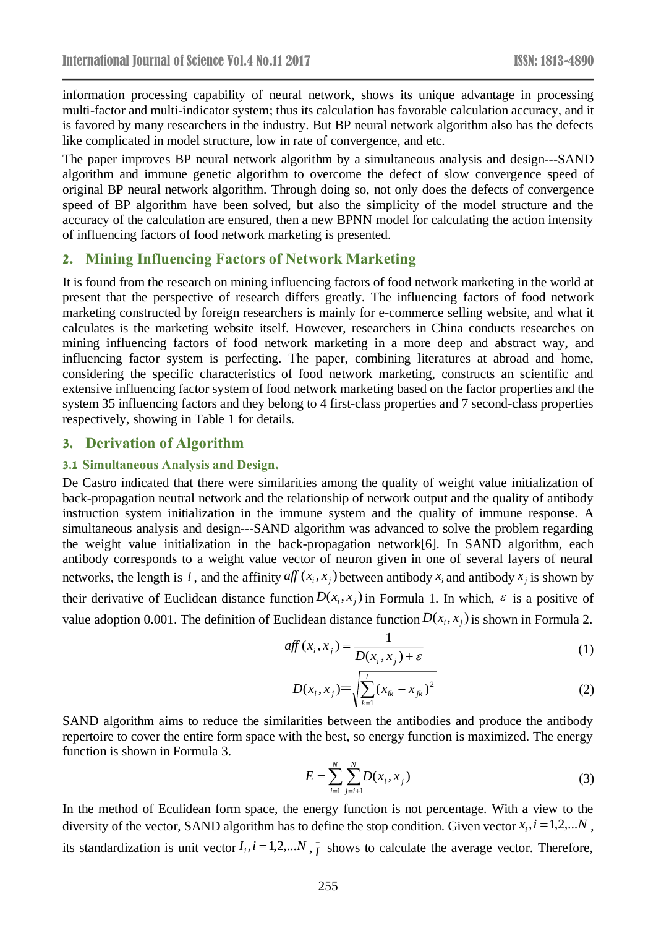information processing capability of neural network, shows its unique advantage in processing multi-factor and multi-indicator system; thus its calculation has favorable calculation accuracy, and it is favored by many researchers in the industry. But BP neural network algorithm also has the defects like complicated in model structure, low in rate of convergence, and etc.

The paper improves BP neural network algorithm by a simultaneous analysis and design---SAND algorithm and immune genetic algorithm to overcome the defect of slow convergence speed of original BP neural network algorithm. Through doing so, not only does the defects of convergence speed of BP algorithm have been solved, but also the simplicity of the model structure and the accuracy of the calculation are ensured, then a new BPNN model for calculating the action intensity of influencing factors of food network marketing is presented.

#### **2. Mining Influencing Factors of Network Marketing**

It is found from the research on mining influencing factors of food network marketing in the world at present that the perspective of research differs greatly. The influencing factors of food network marketing constructed by foreign researchers is mainly for e-commerce selling website, and what it calculates is the marketing website itself. However, researchers in China conducts researches on mining influencing factors of food network marketing in a more deep and abstract way, and influencing factor system is perfecting. The paper, combining literatures at abroad and home, considering the specific characteristics of food network marketing, constructs an scientific and extensive influencing factor system of food network marketing based on the factor properties and the system 35 influencing factors and they belong to 4 first-class properties and 7 second-class properties respectively, showing in Table 1 for details.

#### **3. Derivation of Algorithm**

#### **3.1 Simultaneous Analysis and Design.**

De Castro indicated that there were similarities among the quality of weight value initialization of back-propagation neutral network and the relationship of network output and the quality of antibody instruction system initialization in the immune system and the quality of immune response. A simultaneous analysis and design---SAND algorithm was advanced to solve the problem regarding the weight value initialization in the back-propagation network[6]. In SAND algorithm, each antibody corresponds to a weight value vector of neuron given in one of several layers of neural networks, the length is l, and the affinity  $\alpha f(x_i, x_j)$  between antibody  $x_i$  and antibody  $x_j$  is shown by their derivative of Euclidean distance function  $D(x_i, x_j)$  in Formula 1. In which,  $\varepsilon$  is a positive of value adoption 0.001. The definition of Euclidean distance function  $D(x_i, x_j)$  is shown in Formula 2.

$$
aff(x_i, x_j) = \frac{1}{D(x_i, x_j) + \varepsilon}
$$
 (1)

$$
D(x_i, x_j) = \sqrt{\sum_{k=1}^{l} (x_{ik} - x_{jk})^2}
$$
 (2)

SAND algorithm aims to reduce the similarities between the antibodies and produce the antibody repertoire to cover the entire form space with the best, so energy function is maximized. The energy function is shown in Formula 3.

$$
E = \sum_{i=1}^{N} \sum_{j=i+1}^{N} D(x_i, x_j)
$$
 (3)

In the method of Eculidean form space, the energy function is not percentage. With a view to the diversity of the vector, SAND algorithm has to define the stop condition. Given vector  $x_i$ ,  $i = 1,2,...N$ , its standardization is unit vector  $I_i$ ,  $i = 1,2,...N$ ,  $\overline{I}$  shows to calculate the average vector. Therefore,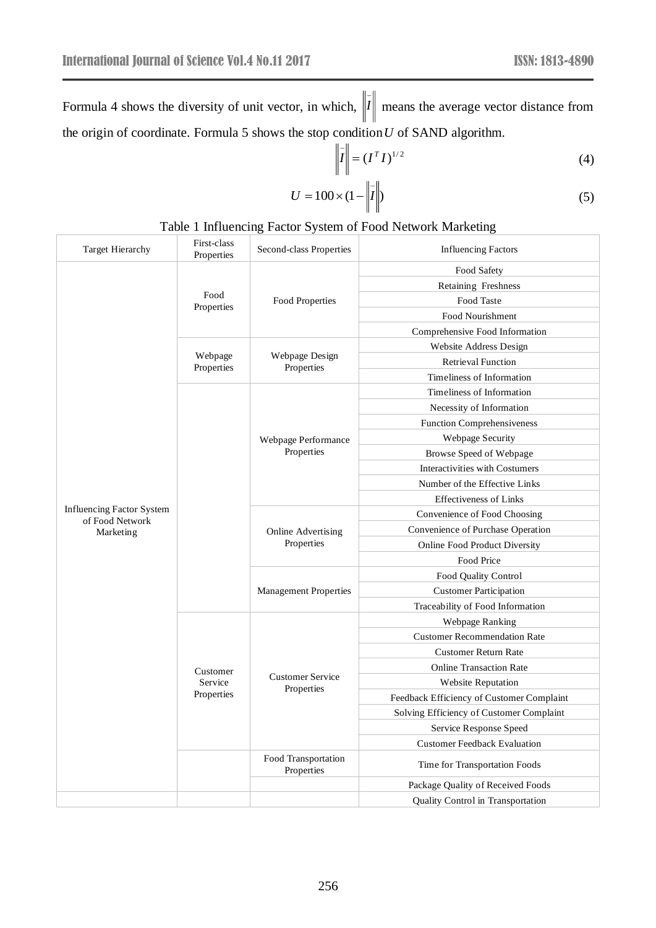Formula 4 shows the diversity of unit vector, in which,  $\|I\|$  means the average vector distance from the origin of coordinate. Formula 5 shows the stop condition *U* of SAND algorithm.

$$
\left\| \overline{I} \right\| = \left( I^T I \right)^{1/2} \tag{4}
$$

$$
U = 100 \times (1 - \left\| \vec{I} \right\|) \tag{5}
$$

#### Table 1 Influencing Factor System of Food Network Marketing

| <b>Target Hierarchy</b>                             | First-class<br>Properties         | Second-class Properties               | <b>Influencing Factors</b>                |  |  |
|-----------------------------------------------------|-----------------------------------|---------------------------------------|-------------------------------------------|--|--|
|                                                     |                                   |                                       | Food Safety                               |  |  |
|                                                     |                                   |                                       | Retaining Freshness                       |  |  |
|                                                     | Food<br>Properties                | <b>Food Properties</b>                | Food Taste                                |  |  |
|                                                     |                                   |                                       | <b>Food Nourishment</b>                   |  |  |
|                                                     |                                   |                                       | Comprehensive Food Information            |  |  |
|                                                     | Webpage<br>Properties             | Webpage Design<br>Properties          | <b>Website Address Design</b>             |  |  |
|                                                     |                                   |                                       | <b>Retrieval Function</b>                 |  |  |
|                                                     |                                   |                                       | Timeliness of Information                 |  |  |
|                                                     |                                   |                                       | Timeliness of Information                 |  |  |
|                                                     |                                   |                                       | Necessity of Information                  |  |  |
|                                                     |                                   |                                       | <b>Function Comprehensiveness</b>         |  |  |
|                                                     |                                   | Webpage Performance                   | Webpage Security                          |  |  |
|                                                     |                                   | Properties                            | Browse Speed of Webpage                   |  |  |
|                                                     |                                   |                                       | Interactivities with Costumers            |  |  |
|                                                     |                                   |                                       | Number of the Effective Links             |  |  |
|                                                     |                                   |                                       | <b>Effectiveness of Links</b>             |  |  |
| <b>Influencing Factor System</b><br>of Food Network |                                   |                                       | Convenience of Food Choosing              |  |  |
| Marketing                                           |                                   | Online Advertising<br>Properties      | Convenience of Purchase Operation         |  |  |
|                                                     |                                   |                                       | <b>Online Food Product Diversity</b>      |  |  |
|                                                     |                                   |                                       | Food Price                                |  |  |
|                                                     |                                   |                                       | Food Quality Control                      |  |  |
|                                                     |                                   | <b>Management Properties</b>          | <b>Customer Participation</b>             |  |  |
|                                                     |                                   |                                       | Traceability of Food Information          |  |  |
|                                                     | Customer<br>Service<br>Properties |                                       | Webpage Ranking                           |  |  |
|                                                     |                                   |                                       | <b>Customer Recommendation Rate</b>       |  |  |
|                                                     |                                   |                                       | <b>Customer Return Rate</b>               |  |  |
|                                                     |                                   |                                       | <b>Online Transaction Rate</b>            |  |  |
|                                                     |                                   | <b>Customer Service</b><br>Properties | <b>Website Reputation</b>                 |  |  |
|                                                     |                                   |                                       | Feedback Efficiency of Customer Complaint |  |  |
|                                                     |                                   |                                       | Solving Efficiency of Customer Complaint  |  |  |
|                                                     |                                   |                                       | Service Response Speed                    |  |  |
|                                                     |                                   |                                       | <b>Customer Feedback Evaluation</b>       |  |  |
|                                                     |                                   | Food Transportation<br>Properties     | Time for Transportation Foods             |  |  |
|                                                     |                                   |                                       | Package Quality of Received Foods         |  |  |
|                                                     |                                   |                                       | Quality Control in Transportation         |  |  |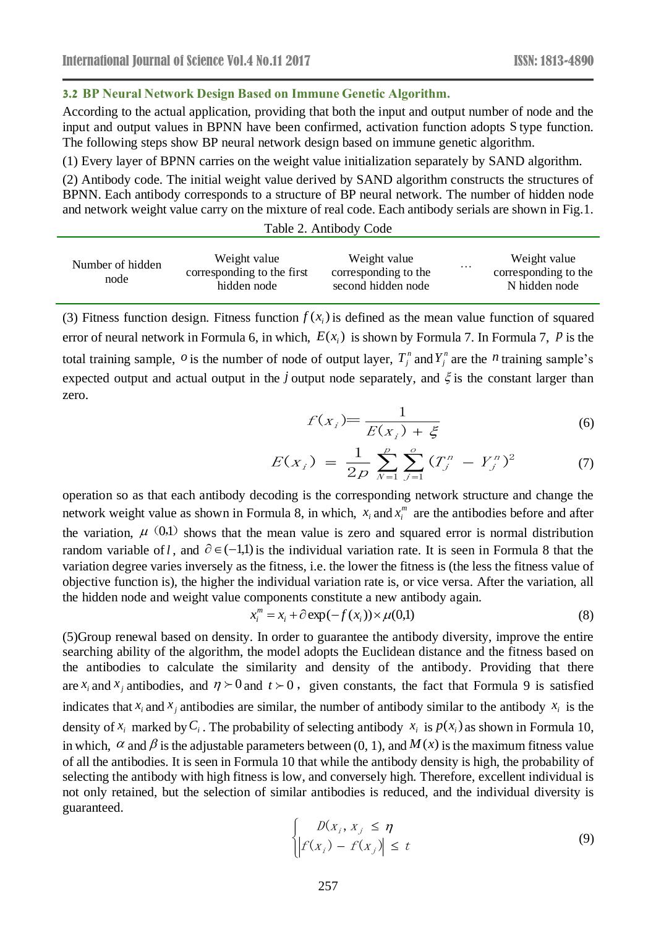#### **3.2 BP Neural Network Design Based on Immune Genetic Algorithm.**

According to the actual application, providing that both the input and output number of node and the input and output values in BPNN have been confirmed, activation function adopts S type function. The following steps show BP neural network design based on immune genetic algorithm.

(1) Every layer of BPNN carries on the weight value initialization separately by SAND algorithm.

(2) Antibody code. The initial weight value derived by SAND algorithm constructs the structures of BPNN. Each antibody corresponds to a structure of BP neural network. The number of hidden node and network weight value carry on the mixture of real code. Each antibody serials are shown in Fig.1.

| Table 2. Antibody Code |  |
|------------------------|--|
|------------------------|--|

| Weight value<br>Number of hidden<br>corresponding to the first<br>node<br>hidden node | Weight value<br>corresponding to the<br>second hidden node | Weight value<br>.<br>corresponding to the<br>N hidden node |
|---------------------------------------------------------------------------------------|------------------------------------------------------------|------------------------------------------------------------|
|---------------------------------------------------------------------------------------|------------------------------------------------------------|------------------------------------------------------------|

(3) Fitness function design. Fitness function  $f(x_i)$  is defined as the mean value function of squared error of neural network in Formula 6, in which,  $E(x_i)$  is shown by Formula 7. In Formula 7, P is the total training sample,  $\sigma$  is the number of node of output layer,  $T_j^n$  and  $Y_j^n$  are the *n* training sample's expected output and actual output in the *j* output node separately, and  $\xi$  is the constant larger than zero.

$$
f(x_i) = \frac{1}{E(x_i) + \xi} \tag{6}
$$

$$
E(x_i) = \frac{1}{2p} \sum_{N=1}^{p} \sum_{j=1}^{o} (T_j^n - Y_j^n)^2
$$
 (7)

operation so as that each antibody decoding is the corresponding network structure and change the network weight value as shown in Formula 8, in which,  $x_i$  and  $x_i^m$  are the antibodies before and after the variation,  $\mu$  (0,1) shows that the mean value is zero and squared error is normal distribution random variable of *l*, and  $\partial \in (-1,1)$  is the individual variation rate. It is seen in Formula 8 that the variation degree varies inversely as the fitness, i.e. the lower the fitness is (the less the fitness value of objective function is), the higher the individual variation rate is, or vice versa. After the variation, all the hidden node and weight value components constitute a new antibody again.

$$
x_i^m = x_i + \partial \exp(-f(x_i)) \times \mu(0,1)
$$
\n(8)

(5)Group renewal based on density. In order to guarantee the antibody diversity, improve the entire searching ability of the algorithm, the model adopts the Euclidean distance and the fitness based on the antibodies to calculate the similarity and density of the antibody. Providing that there are  $x_i$  and  $x_j$  antibodies, and  $\eta \succ 0$  and  $t \succ 0$ , given constants, the fact that Formula 9 is satisfied indicates that  $x_i$  and  $x_j$  antibodies are similar, the number of antibody similar to the antibody  $x_i$  is the density of  $x_i$  marked by  $C_i$ . The probability of selecting antibody  $x_i$  is  $p(x_i)$  as shown in Formula 10, in which,  $\alpha$  and  $\beta$  is the adjustable parameters between (0, 1), and  $M(x)$  is the maximum fitness value of all the antibodies. It is seen in Formula 10 that while the antibody density is high, the probability of selecting the antibody with high fitness is low, and conversely high. Therefore, excellent individual is not only retained, but the selection of similar antibodies is reduced, and the individual diversity is guaranteed.

$$
\begin{cases}\nD(x_i, x_j \le \eta \\
\left|f(x_i) - f(x_j)\right| \le t\n\end{cases}
$$
\n(9)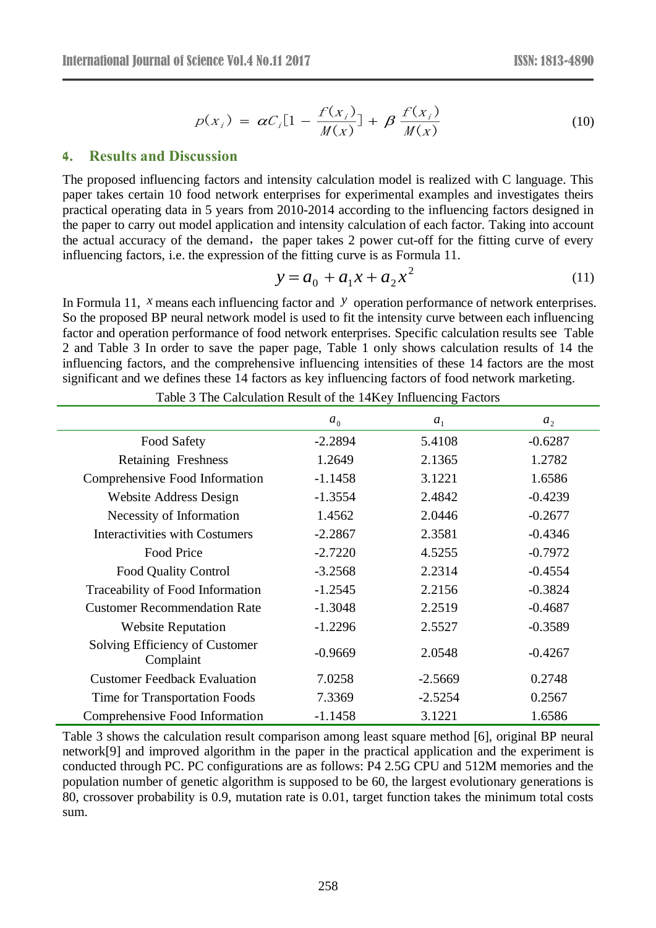$$
p(x_i) = \alpha C_i [1 - \frac{f(x_i)}{M(x)}] + \beta \frac{f(x_i)}{M(x)}
$$
(10)

#### **4. Results and Discussion**

The proposed influencing factors and intensity calculation model is realized with C language. This paper takes certain 10 food network enterprises for experimental examples and investigates theirs practical operating data in 5 years from 2010-2014 according to the influencing factors designed in the paper to carry out model application and intensity calculation of each factor. Taking into account the actual accuracy of the demand, the paper takes 2 power cut-off for the fitting curve of every influencing factors, i.e. the expression of the fitting curve is as Formula 11.

$$
y = a_0 + a_1 x + a_2 x^2 \tag{11}
$$

In Formula 11, *x* means each influencing factor and *y* operation performance of network enterprises. So the proposed BP neural network model is used to fit the intensity curve between each influencing factor and operation performance of food network enterprises. Specific calculation results see Table 2 and Table 3 In order to save the paper page, Table 1 only shows calculation results of 14 the influencing factors, and the comprehensive influencing intensities of these 14 factors are the most significant and we defines these 14 factors as key influencing factors of food network marketing.

|                                             | a <sub>0</sub> | a <sub>1</sub> | a <sub>2</sub> |
|---------------------------------------------|----------------|----------------|----------------|
| Food Safety                                 | $-2.2894$      | 5.4108         | $-0.6287$      |
| <b>Retaining Freshness</b>                  | 1.2649         | 2.1365         | 1.2782         |
| Comprehensive Food Information              | $-1.1458$      | 3.1221         | 1.6586         |
| Website Address Design                      | $-1.3554$      | 2.4842         | $-0.4239$      |
| Necessity of Information                    | 1.4562         | 2.0446         | $-0.2677$      |
| <b>Interactivities with Costumers</b>       | $-2.2867$      | 2.3581         | $-0.4346$      |
| Food Price                                  | $-2.7220$      | 4.5255         | $-0.7972$      |
| <b>Food Quality Control</b>                 | $-3.2568$      | 2.2314         | $-0.4554$      |
| Traceability of Food Information            | $-1.2545$      | 2.2156         | $-0.3824$      |
| <b>Customer Recommendation Rate</b>         | $-1.3048$      | 2.2519         | $-0.4687$      |
| <b>Website Reputation</b>                   | $-1.2296$      | 2.5527         | $-0.3589$      |
| Solving Efficiency of Customer<br>Complaint | $-0.9669$      | 2.0548         | $-0.4267$      |
| <b>Customer Feedback Evaluation</b>         | 7.0258         | $-2.5669$      | 0.2748         |
| Time for Transportation Foods               | 7.3369         | $-2.5254$      | 0.2567         |
| Comprehensive Food Information              | $-1.1458$      | 3.1221         | 1.6586         |

Table 3 The Calculation Result of the 14Key Influencing Factors

Table 3 shows the calculation result comparison among least square method [6], original BP neural network[9] and improved algorithm in the paper in the practical application and the experiment is conducted through PC. PC configurations are as follows: P4 2.5G CPU and 512M memories and the population number of genetic algorithm is supposed to be 60, the largest evolutionary generations is 80, crossover probability is 0.9, mutation rate is 0.01, target function takes the minimum total costs sum.